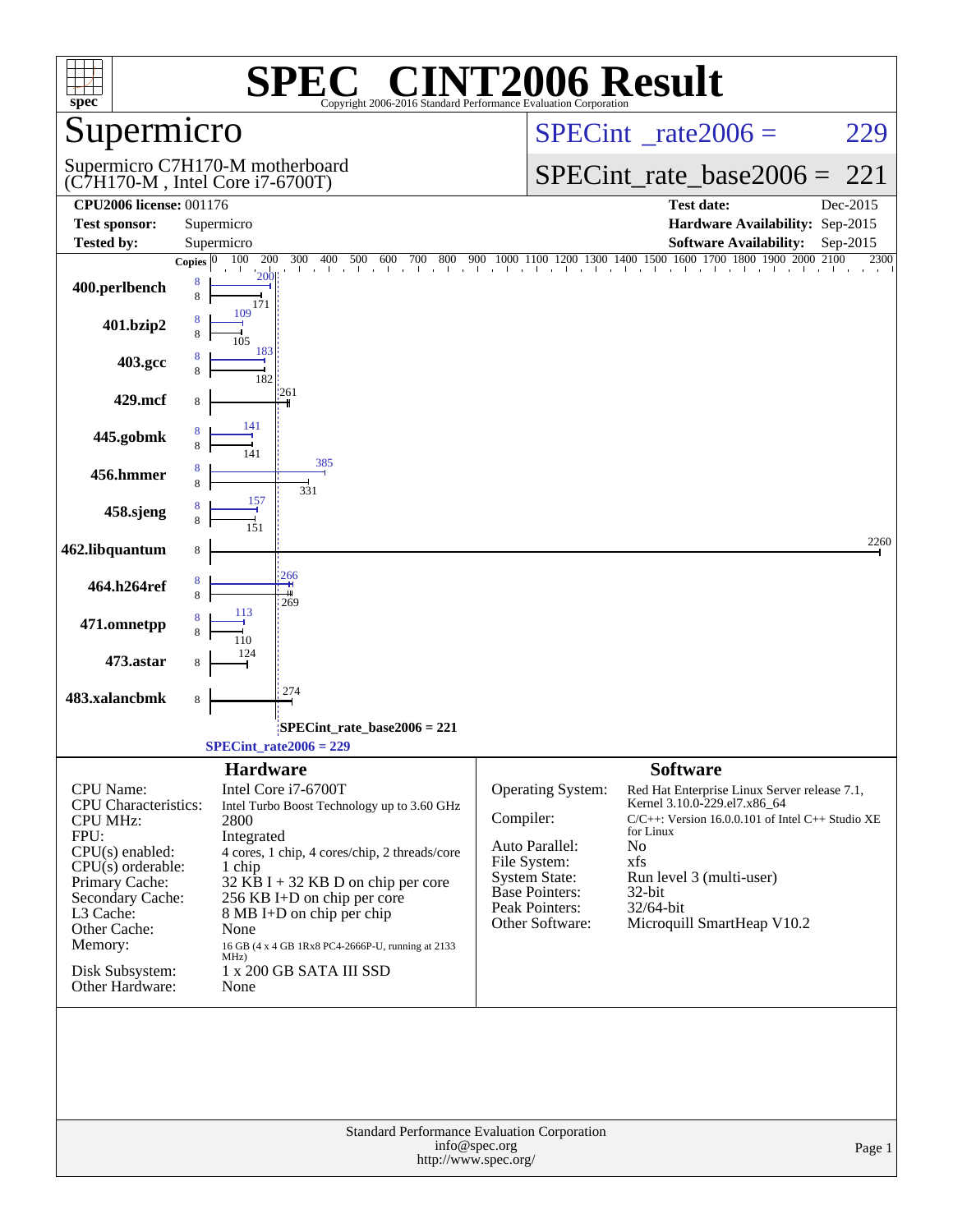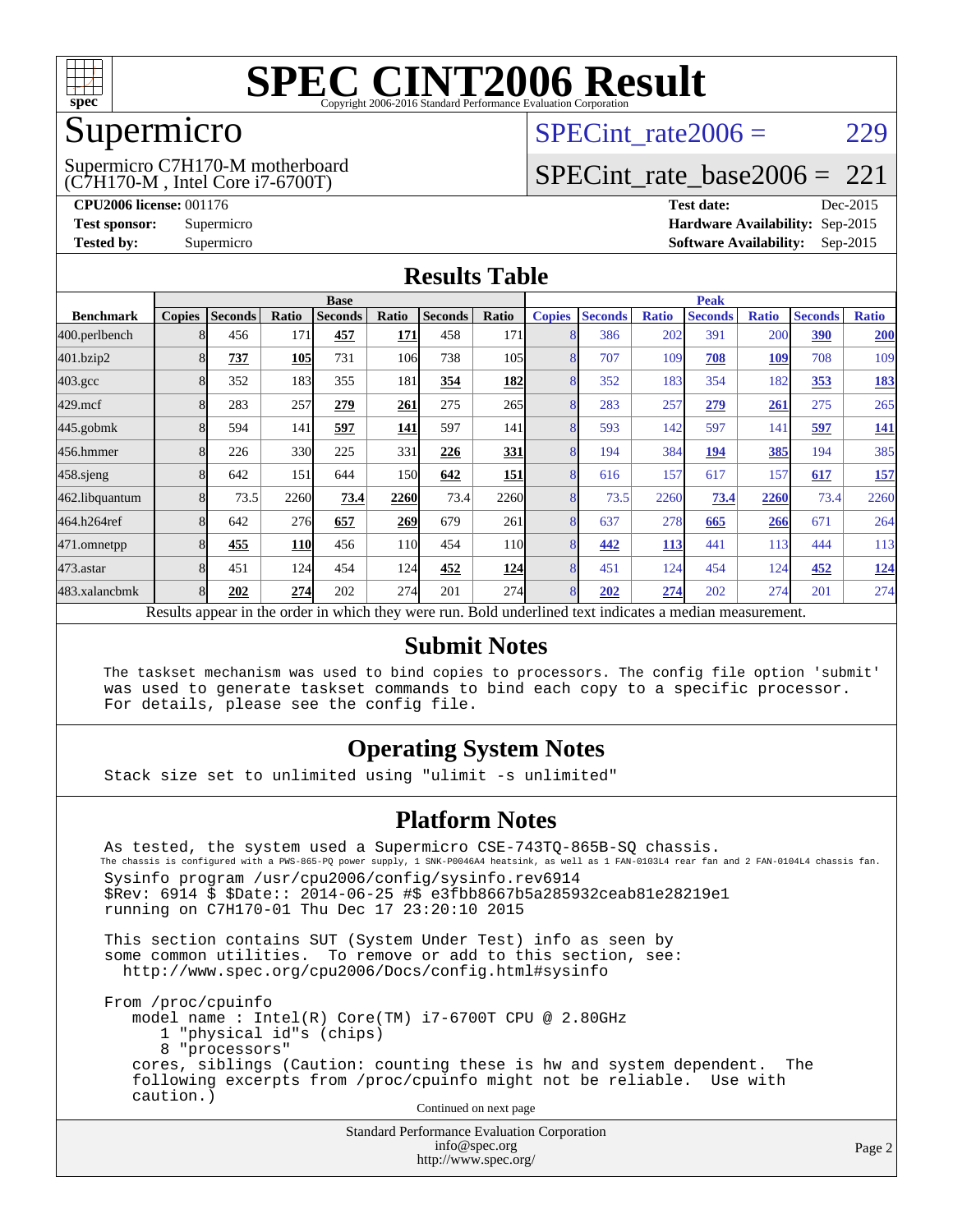

## Supermicro

(C7H170-M , Intel Core i7-6700T) Supermicro C7H170-M motherboard SPECint rate $2006 = 229$ 

## [SPECint\\_rate\\_base2006 =](http://www.spec.org/auto/cpu2006/Docs/result-fields.html#SPECintratebase2006) 221

**[CPU2006 license:](http://www.spec.org/auto/cpu2006/Docs/result-fields.html#CPU2006license)** 001176 **[Test date:](http://www.spec.org/auto/cpu2006/Docs/result-fields.html#Testdate)** Dec-2015 **[Test sponsor:](http://www.spec.org/auto/cpu2006/Docs/result-fields.html#Testsponsor)** Supermicro **[Hardware Availability:](http://www.spec.org/auto/cpu2006/Docs/result-fields.html#HardwareAvailability)** Sep-2015 **[Tested by:](http://www.spec.org/auto/cpu2006/Docs/result-fields.html#Testedby)** Supermicro **Supermicro [Software Availability:](http://www.spec.org/auto/cpu2006/Docs/result-fields.html#SoftwareAvailability)** Sep-2015

### **[Results Table](http://www.spec.org/auto/cpu2006/Docs/result-fields.html#ResultsTable)**

|                                                                                                          | <b>Base</b>   |                |       |                |                 | <b>Peak</b>    |                 |               |                |              |                |              |                |              |
|----------------------------------------------------------------------------------------------------------|---------------|----------------|-------|----------------|-----------------|----------------|-----------------|---------------|----------------|--------------|----------------|--------------|----------------|--------------|
| <b>Benchmark</b>                                                                                         | <b>Copies</b> | <b>Seconds</b> | Ratio | <b>Seconds</b> | Ratio           | <b>Seconds</b> | Ratio           | <b>Copies</b> | <b>Seconds</b> | <b>Ratio</b> | <b>Seconds</b> | <b>Ratio</b> | <b>Seconds</b> | <b>Ratio</b> |
| 400.perlbench                                                                                            | 8             | 456            | 171   | 457            | 171             | 458            | 171             | 8             | 386            | 202          | 391            | 200          | 390            | 200          |
| 401.bzip2                                                                                                | 8             | <u>737</u>     | 105   | 731            | 106             | 738            | 105             | 8             | 707            | 109          | 708            | <b>109</b>   | 708            | 109          |
| $403.\mathrm{gcc}$                                                                                       | 8             | 352            | 183   | 355            | 181             | 354            | <b>182</b>      | 8             | 352            | 183          | 354            | 182          | 353            | <u>183</u>   |
| $429$ .mcf                                                                                               | 8             | 283            | 257   | 279            | 261             | 275            | 265             | 8             | 283            | 257          | 279            | 261          | 275            | 265          |
| $445$ .gobmk                                                                                             | 8             | 594            | 141   | 597            | <b>141</b>      | 597            | 141             | 8             | 593            | 142          | 597            | 141          | 597            | <u>141</u>   |
| 456.hmmer                                                                                                | 8             | 226            | 330   | 225            | 331             | 226            | 331             | 8             | 194            | 384          | 194            | 385          | 194            | 385          |
| $458$ .sjeng                                                                                             | 8             | 642            | 151   | 644            | 150             | 642            | 151             | 8             | 616            | 157          | 617            | 157          | 617            | 157          |
| 462.libquantum                                                                                           | 8             | 73.5           | 2260  | 73.4           | 2260            | 73.4           | 2260            | 8             | 73.5           | 2260         | 73.4           | 2260         | 73.4           | 2260         |
| 464.h264ref                                                                                              | 8             | 642            | 276   | 657            | 269             | 679            | 261             | 8             | 637            | 278          | 665            | 266          | 671            | 264          |
| 471.omnetpp                                                                                              | 8             | 455            | 110   | 456            | 11 <sub>0</sub> | 454            | 11 <sub>0</sub> | 8             | 442            | 113          | 441            | 113          | 444            | 113          |
| $473$ . astar                                                                                            | 8             | 451            | 124   | 454            | 124             | 452            | 124             | 8             | 451            | 124          | 454            | 124          | 452            | <u>124</u>   |
| 483.xalancbmk                                                                                            | 8             | 202            | 274   | 202            | 274             | 201            | 274             | 8             | 202            | 274          | 202            | 274          | 201            | 274          |
| Results appear in the order in which they were run. Bold underlined text indicates a median measurement. |               |                |       |                |                 |                |                 |               |                |              |                |              |                |              |

#### **[Submit Notes](http://www.spec.org/auto/cpu2006/Docs/result-fields.html#SubmitNotes)**

 The taskset mechanism was used to bind copies to processors. The config file option 'submit' was used to generate taskset commands to bind each copy to a specific processor. For details, please see the config file.

### **[Operating System Notes](http://www.spec.org/auto/cpu2006/Docs/result-fields.html#OperatingSystemNotes)**

Stack size set to unlimited using "ulimit -s unlimited"

#### **[Platform Notes](http://www.spec.org/auto/cpu2006/Docs/result-fields.html#PlatformNotes)**

 As tested, the system used a Supermicro CSE-743TQ-865B-SQ chassis. The chassis is configured with a PWS-865-PQ power supply, 1 SNK-P0046A4 heatsink, as well as 1 FAN-0103L4 rear fan and 2 FAN-0104L4 chassis fan. Sysinfo program /usr/cpu2006/config/sysinfo.rev6914 \$Rev: 6914 \$ \$Date:: 2014-06-25 #\$ e3fbb8667b5a285932ceab81e28219e1 running on C7H170-01 Thu Dec 17 23:20:10 2015

 This section contains SUT (System Under Test) info as seen by some common utilities. To remove or add to this section, see: <http://www.spec.org/cpu2006/Docs/config.html#sysinfo>

 From /proc/cpuinfo model name : Intel(R) Core(TM) i7-6700T CPU @ 2.80GHz 1 "physical id"s (chips) 8 "processors" cores, siblings (Caution: counting these is hw and system dependent. The following excerpts from /proc/cpuinfo might not be reliable. Use with caution.)

Continued on next page

Standard Performance Evaluation Corporation [info@spec.org](mailto:info@spec.org) <http://www.spec.org/>

Page 2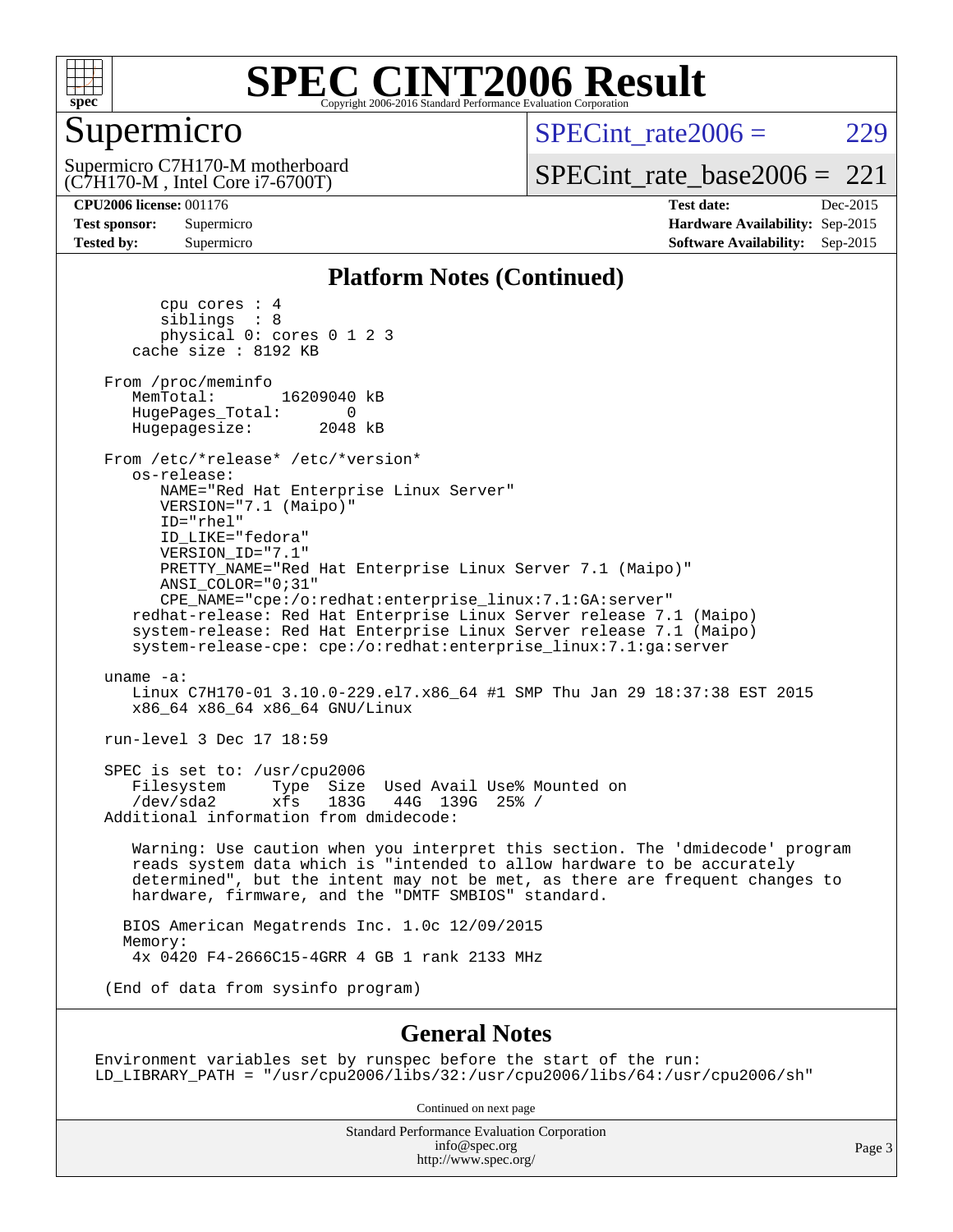

## Supermicro

(C7H170-M , Intel Core i7-6700T) Supermicro C7H170-M motherboard  $SPECint rate2006 = 229$ 

[SPECint\\_rate\\_base2006 =](http://www.spec.org/auto/cpu2006/Docs/result-fields.html#SPECintratebase2006)  $221$ 

**[CPU2006 license:](http://www.spec.org/auto/cpu2006/Docs/result-fields.html#CPU2006license)** 001176 **[Test date:](http://www.spec.org/auto/cpu2006/Docs/result-fields.html#Testdate)** Dec-2015 **[Test sponsor:](http://www.spec.org/auto/cpu2006/Docs/result-fields.html#Testsponsor)** Supermicro **[Hardware Availability:](http://www.spec.org/auto/cpu2006/Docs/result-fields.html#HardwareAvailability)** Sep-2015 **[Tested by:](http://www.spec.org/auto/cpu2006/Docs/result-fields.html#Testedby)** Supermicro **Supermicro [Software Availability:](http://www.spec.org/auto/cpu2006/Docs/result-fields.html#SoftwareAvailability)** Sep-2015

#### **[Platform Notes \(Continued\)](http://www.spec.org/auto/cpu2006/Docs/result-fields.html#PlatformNotes)**

 cpu cores : 4 siblings : 8 physical 0: cores 0 1 2 3 cache size : 8192 KB From /proc/meminfo MemTotal: 16209040 kB HugePages\_Total: 0<br>Hugepagesize: 2048 kB Hugepagesize: From /etc/\*release\* /etc/\*version\* os-release: NAME="Red Hat Enterprise Linux Server" VERSION="7.1 (Maipo)" ID="rhel" ID\_LIKE="fedora" VERSION\_ID="7.1" PRETTY\_NAME="Red Hat Enterprise Linux Server 7.1 (Maipo)" ANSI\_COLOR="0;31" CPE\_NAME="cpe:/o:redhat:enterprise\_linux:7.1:GA:server" redhat-release: Red Hat Enterprise Linux Server release 7.1 (Maipo) system-release: Red Hat Enterprise Linux Server release 7.1 (Maipo) system-release-cpe: cpe:/o:redhat:enterprise\_linux:7.1:ga:server uname -a: Linux C7H170-01 3.10.0-229.el7.x86\_64 #1 SMP Thu Jan 29 18:37:38 EST 2015 x86\_64 x86\_64 x86\_64 GNU/Linux run-level 3 Dec 17 18:59 SPEC is set to: /usr/cpu2006<br>Filesystem Type Size Type Size Used Avail Use% Mounted on /dev/sda2 xfs 183G 44G 139G 25% / Additional information from dmidecode: Warning: Use caution when you interpret this section. The 'dmidecode' program reads system data which is "intended to allow hardware to be accurately determined", but the intent may not be met, as there are frequent changes to hardware, firmware, and the "DMTF SMBIOS" standard. BIOS American Megatrends Inc. 1.0c 12/09/2015 Memory: 4x 0420 F4-2666C15-4GRR 4 GB 1 rank 2133 MHz (End of data from sysinfo program)

#### **[General Notes](http://www.spec.org/auto/cpu2006/Docs/result-fields.html#GeneralNotes)**

Environment variables set by runspec before the start of the run: LD\_LIBRARY\_PATH = "/usr/cpu2006/libs/32:/usr/cpu2006/libs/64:/usr/cpu2006/sh"

Continued on next page

Standard Performance Evaluation Corporation [info@spec.org](mailto:info@spec.org) <http://www.spec.org/>

Page 3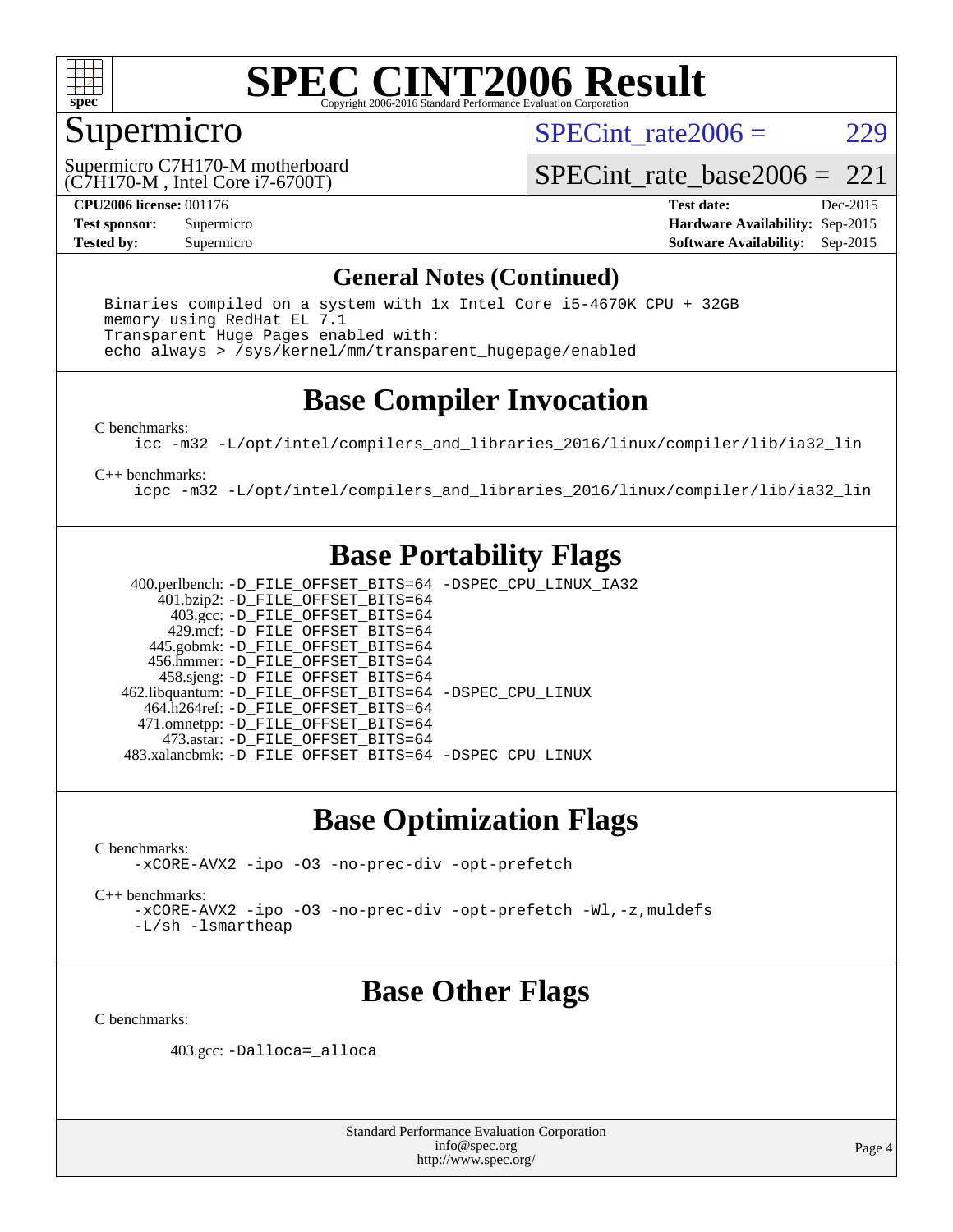

## Supermicro

SPECint rate $2006 = 229$ 

(C7H170-M , Intel Core i7-6700T) Supermicro C7H170-M motherboard

[SPECint\\_rate\\_base2006 =](http://www.spec.org/auto/cpu2006/Docs/result-fields.html#SPECintratebase2006)  $221$ 

**[CPU2006 license:](http://www.spec.org/auto/cpu2006/Docs/result-fields.html#CPU2006license)** 001176 **[Test date:](http://www.spec.org/auto/cpu2006/Docs/result-fields.html#Testdate)** Dec-2015 **[Test sponsor:](http://www.spec.org/auto/cpu2006/Docs/result-fields.html#Testsponsor)** Supermicro **[Hardware Availability:](http://www.spec.org/auto/cpu2006/Docs/result-fields.html#HardwareAvailability)** Sep-2015 **[Tested by:](http://www.spec.org/auto/cpu2006/Docs/result-fields.html#Testedby)** Supermicro **Supermicro [Software Availability:](http://www.spec.org/auto/cpu2006/Docs/result-fields.html#SoftwareAvailability)** Sep-2015

### **[General Notes \(Continued\)](http://www.spec.org/auto/cpu2006/Docs/result-fields.html#GeneralNotes)**

 Binaries compiled on a system with 1x Intel Core i5-4670K CPU + 32GB memory using RedHat EL 7.1 Transparent Huge Pages enabled with: echo always > /sys/kernel/mm/transparent\_hugepage/enabled

## **[Base Compiler Invocation](http://www.spec.org/auto/cpu2006/Docs/result-fields.html#BaseCompilerInvocation)**

[C benchmarks](http://www.spec.org/auto/cpu2006/Docs/result-fields.html#Cbenchmarks):

[icc -m32 -L/opt/intel/compilers\\_and\\_libraries\\_2016/linux/compiler/lib/ia32\\_lin](http://www.spec.org/cpu2006/results/res2016q1/cpu2006-20151223-38488.flags.html#user_CCbase_intel_icc_e10256ba5924b668798078a321b0cb3f)

[C++ benchmarks:](http://www.spec.org/auto/cpu2006/Docs/result-fields.html#CXXbenchmarks)

[icpc -m32 -L/opt/intel/compilers\\_and\\_libraries\\_2016/linux/compiler/lib/ia32\\_lin](http://www.spec.org/cpu2006/results/res2016q1/cpu2006-20151223-38488.flags.html#user_CXXbase_intel_icpc_b4f50a394bdb4597aa5879c16bc3f5c5)

## **[Base Portability Flags](http://www.spec.org/auto/cpu2006/Docs/result-fields.html#BasePortabilityFlags)**

 400.perlbench: [-D\\_FILE\\_OFFSET\\_BITS=64](http://www.spec.org/cpu2006/results/res2016q1/cpu2006-20151223-38488.flags.html#user_basePORTABILITY400_perlbench_file_offset_bits_64_438cf9856305ebd76870a2c6dc2689ab) [-DSPEC\\_CPU\\_LINUX\\_IA32](http://www.spec.org/cpu2006/results/res2016q1/cpu2006-20151223-38488.flags.html#b400.perlbench_baseCPORTABILITY_DSPEC_CPU_LINUX_IA32) 401.bzip2: [-D\\_FILE\\_OFFSET\\_BITS=64](http://www.spec.org/cpu2006/results/res2016q1/cpu2006-20151223-38488.flags.html#user_basePORTABILITY401_bzip2_file_offset_bits_64_438cf9856305ebd76870a2c6dc2689ab) 403.gcc: [-D\\_FILE\\_OFFSET\\_BITS=64](http://www.spec.org/cpu2006/results/res2016q1/cpu2006-20151223-38488.flags.html#user_basePORTABILITY403_gcc_file_offset_bits_64_438cf9856305ebd76870a2c6dc2689ab) 429.mcf: [-D\\_FILE\\_OFFSET\\_BITS=64](http://www.spec.org/cpu2006/results/res2016q1/cpu2006-20151223-38488.flags.html#user_basePORTABILITY429_mcf_file_offset_bits_64_438cf9856305ebd76870a2c6dc2689ab) 445.gobmk: [-D\\_FILE\\_OFFSET\\_BITS=64](http://www.spec.org/cpu2006/results/res2016q1/cpu2006-20151223-38488.flags.html#user_basePORTABILITY445_gobmk_file_offset_bits_64_438cf9856305ebd76870a2c6dc2689ab) 456.hmmer: [-D\\_FILE\\_OFFSET\\_BITS=64](http://www.spec.org/cpu2006/results/res2016q1/cpu2006-20151223-38488.flags.html#user_basePORTABILITY456_hmmer_file_offset_bits_64_438cf9856305ebd76870a2c6dc2689ab) 458.sjeng: [-D\\_FILE\\_OFFSET\\_BITS=64](http://www.spec.org/cpu2006/results/res2016q1/cpu2006-20151223-38488.flags.html#user_basePORTABILITY458_sjeng_file_offset_bits_64_438cf9856305ebd76870a2c6dc2689ab) 462.libquantum: [-D\\_FILE\\_OFFSET\\_BITS=64](http://www.spec.org/cpu2006/results/res2016q1/cpu2006-20151223-38488.flags.html#user_basePORTABILITY462_libquantum_file_offset_bits_64_438cf9856305ebd76870a2c6dc2689ab) [-DSPEC\\_CPU\\_LINUX](http://www.spec.org/cpu2006/results/res2016q1/cpu2006-20151223-38488.flags.html#b462.libquantum_baseCPORTABILITY_DSPEC_CPU_LINUX) 464.h264ref: [-D\\_FILE\\_OFFSET\\_BITS=64](http://www.spec.org/cpu2006/results/res2016q1/cpu2006-20151223-38488.flags.html#user_basePORTABILITY464_h264ref_file_offset_bits_64_438cf9856305ebd76870a2c6dc2689ab) 471.omnetpp: [-D\\_FILE\\_OFFSET\\_BITS=64](http://www.spec.org/cpu2006/results/res2016q1/cpu2006-20151223-38488.flags.html#user_basePORTABILITY471_omnetpp_file_offset_bits_64_438cf9856305ebd76870a2c6dc2689ab) 473.astar: [-D\\_FILE\\_OFFSET\\_BITS=64](http://www.spec.org/cpu2006/results/res2016q1/cpu2006-20151223-38488.flags.html#user_basePORTABILITY473_astar_file_offset_bits_64_438cf9856305ebd76870a2c6dc2689ab) 483.xalancbmk: [-D\\_FILE\\_OFFSET\\_BITS=64](http://www.spec.org/cpu2006/results/res2016q1/cpu2006-20151223-38488.flags.html#user_basePORTABILITY483_xalancbmk_file_offset_bits_64_438cf9856305ebd76870a2c6dc2689ab) [-DSPEC\\_CPU\\_LINUX](http://www.spec.org/cpu2006/results/res2016q1/cpu2006-20151223-38488.flags.html#b483.xalancbmk_baseCXXPORTABILITY_DSPEC_CPU_LINUX)

## **[Base Optimization Flags](http://www.spec.org/auto/cpu2006/Docs/result-fields.html#BaseOptimizationFlags)**

[C benchmarks](http://www.spec.org/auto/cpu2006/Docs/result-fields.html#Cbenchmarks): [-xCORE-AVX2](http://www.spec.org/cpu2006/results/res2016q1/cpu2006-20151223-38488.flags.html#user_CCbase_f-xAVX2_5f5fc0cbe2c9f62c816d3e45806c70d7) [-ipo](http://www.spec.org/cpu2006/results/res2016q1/cpu2006-20151223-38488.flags.html#user_CCbase_f-ipo) [-O3](http://www.spec.org/cpu2006/results/res2016q1/cpu2006-20151223-38488.flags.html#user_CCbase_f-O3) [-no-prec-div](http://www.spec.org/cpu2006/results/res2016q1/cpu2006-20151223-38488.flags.html#user_CCbase_f-no-prec-div) [-opt-prefetch](http://www.spec.org/cpu2006/results/res2016q1/cpu2006-20151223-38488.flags.html#user_CCbase_f-opt-prefetch)

[C++ benchmarks:](http://www.spec.org/auto/cpu2006/Docs/result-fields.html#CXXbenchmarks)

[-xCORE-AVX2](http://www.spec.org/cpu2006/results/res2016q1/cpu2006-20151223-38488.flags.html#user_CXXbase_f-xAVX2_5f5fc0cbe2c9f62c816d3e45806c70d7) [-ipo](http://www.spec.org/cpu2006/results/res2016q1/cpu2006-20151223-38488.flags.html#user_CXXbase_f-ipo) [-O3](http://www.spec.org/cpu2006/results/res2016q1/cpu2006-20151223-38488.flags.html#user_CXXbase_f-O3) [-no-prec-div](http://www.spec.org/cpu2006/results/res2016q1/cpu2006-20151223-38488.flags.html#user_CXXbase_f-no-prec-div) [-opt-prefetch](http://www.spec.org/cpu2006/results/res2016q1/cpu2006-20151223-38488.flags.html#user_CXXbase_f-opt-prefetch) [-Wl,-z,muldefs](http://www.spec.org/cpu2006/results/res2016q1/cpu2006-20151223-38488.flags.html#user_CXXbase_link_force_multiple1_74079c344b956b9658436fd1b6dd3a8a) [-L/sh -lsmartheap](http://www.spec.org/cpu2006/results/res2016q1/cpu2006-20151223-38488.flags.html#user_CXXbase_SmartHeap_32f6c82aa1ed9c52345d30cf6e4a0499)

## **[Base Other Flags](http://www.spec.org/auto/cpu2006/Docs/result-fields.html#BaseOtherFlags)**

[C benchmarks](http://www.spec.org/auto/cpu2006/Docs/result-fields.html#Cbenchmarks):

403.gcc: [-Dalloca=\\_alloca](http://www.spec.org/cpu2006/results/res2016q1/cpu2006-20151223-38488.flags.html#b403.gcc_baseEXTRA_CFLAGS_Dalloca_be3056838c12de2578596ca5467af7f3)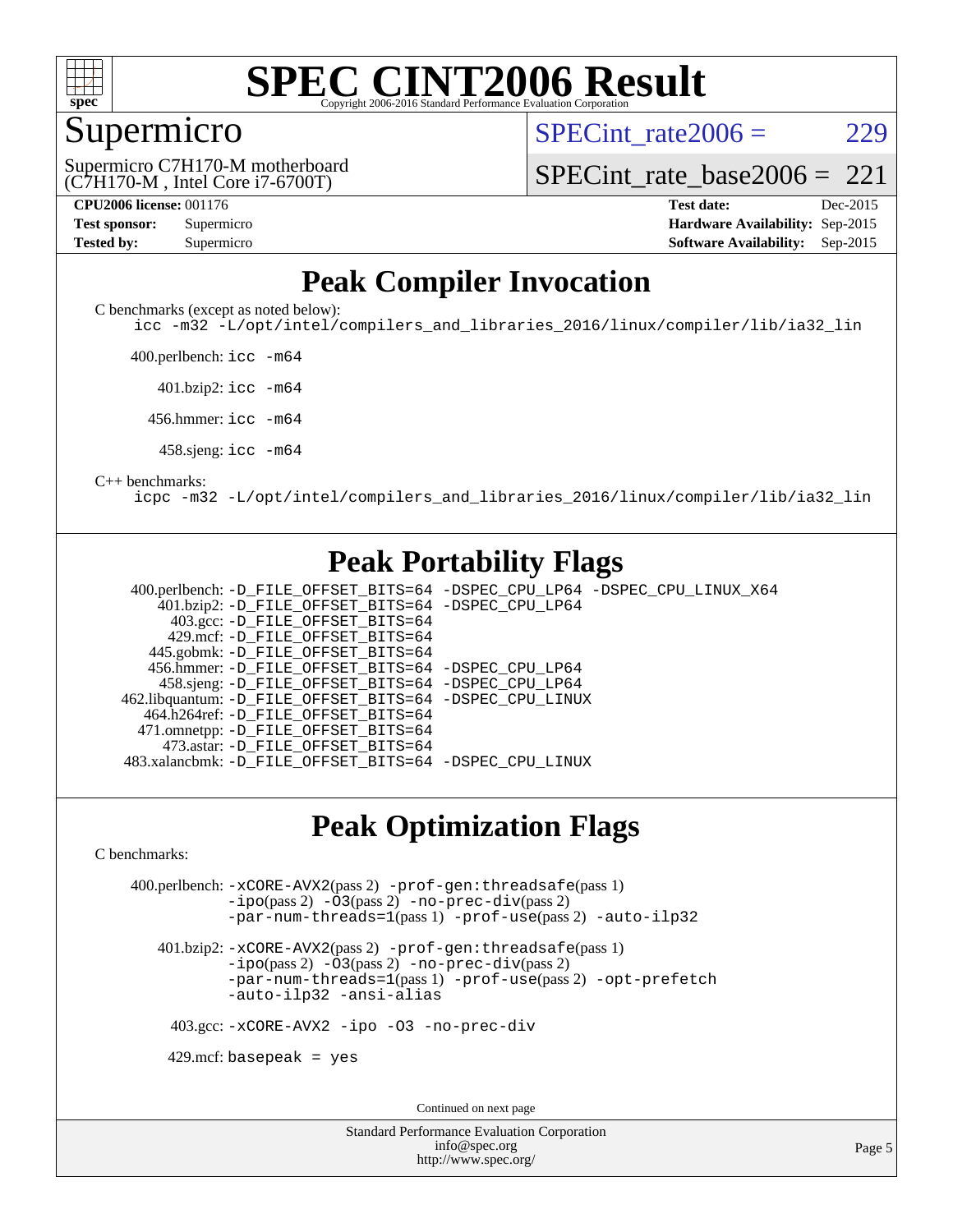

## Supermicro

SPECint rate $2006 = 229$ 

(C7H170-M , Intel Core i7-6700T) Supermicro C7H170-M motherboard [SPECint\\_rate\\_base2006 =](http://www.spec.org/auto/cpu2006/Docs/result-fields.html#SPECintratebase2006)  $221$ 

| <b>Test sponsor:</b> | Supermicro |
|----------------------|------------|
| <b>Tested by:</b>    | Supermicro |

**[CPU2006 license:](http://www.spec.org/auto/cpu2006/Docs/result-fields.html#CPU2006license)** 001176 **[Test date:](http://www.spec.org/auto/cpu2006/Docs/result-fields.html#Testdate)** Dec-2015 **[Hardware Availability:](http://www.spec.org/auto/cpu2006/Docs/result-fields.html#HardwareAvailability)** Sep-2015 **[Software Availability:](http://www.spec.org/auto/cpu2006/Docs/result-fields.html#SoftwareAvailability)** Sep-2015

## **[Peak Compiler Invocation](http://www.spec.org/auto/cpu2006/Docs/result-fields.html#PeakCompilerInvocation)**

[C benchmarks \(except as noted below\)](http://www.spec.org/auto/cpu2006/Docs/result-fields.html#Cbenchmarksexceptasnotedbelow):

[icc -m32 -L/opt/intel/compilers\\_and\\_libraries\\_2016/linux/compiler/lib/ia32\\_lin](http://www.spec.org/cpu2006/results/res2016q1/cpu2006-20151223-38488.flags.html#user_CCpeak_intel_icc_e10256ba5924b668798078a321b0cb3f)

400.perlbench: [icc -m64](http://www.spec.org/cpu2006/results/res2016q1/cpu2006-20151223-38488.flags.html#user_peakCCLD400_perlbench_intel_icc_64bit_bda6cc9af1fdbb0edc3795bac97ada53)

401.bzip2: [icc -m64](http://www.spec.org/cpu2006/results/res2016q1/cpu2006-20151223-38488.flags.html#user_peakCCLD401_bzip2_intel_icc_64bit_bda6cc9af1fdbb0edc3795bac97ada53)

456.hmmer: [icc -m64](http://www.spec.org/cpu2006/results/res2016q1/cpu2006-20151223-38488.flags.html#user_peakCCLD456_hmmer_intel_icc_64bit_bda6cc9af1fdbb0edc3795bac97ada53)

458.sjeng: [icc -m64](http://www.spec.org/cpu2006/results/res2016q1/cpu2006-20151223-38488.flags.html#user_peakCCLD458_sjeng_intel_icc_64bit_bda6cc9af1fdbb0edc3795bac97ada53)

#### [C++ benchmarks:](http://www.spec.org/auto/cpu2006/Docs/result-fields.html#CXXbenchmarks)

[icpc -m32 -L/opt/intel/compilers\\_and\\_libraries\\_2016/linux/compiler/lib/ia32\\_lin](http://www.spec.org/cpu2006/results/res2016q1/cpu2006-20151223-38488.flags.html#user_CXXpeak_intel_icpc_b4f50a394bdb4597aa5879c16bc3f5c5)

## **[Peak Portability Flags](http://www.spec.org/auto/cpu2006/Docs/result-fields.html#PeakPortabilityFlags)**

 400.perlbench: [-D\\_FILE\\_OFFSET\\_BITS=64](http://www.spec.org/cpu2006/results/res2016q1/cpu2006-20151223-38488.flags.html#user_peakPORTABILITY400_perlbench_file_offset_bits_64_438cf9856305ebd76870a2c6dc2689ab) [-DSPEC\\_CPU\\_LP64](http://www.spec.org/cpu2006/results/res2016q1/cpu2006-20151223-38488.flags.html#b400.perlbench_peakCPORTABILITY_DSPEC_CPU_LP64) [-DSPEC\\_CPU\\_LINUX\\_X64](http://www.spec.org/cpu2006/results/res2016q1/cpu2006-20151223-38488.flags.html#b400.perlbench_peakCPORTABILITY_DSPEC_CPU_LINUX_X64) 401.bzip2: [-D\\_FILE\\_OFFSET\\_BITS=64](http://www.spec.org/cpu2006/results/res2016q1/cpu2006-20151223-38488.flags.html#user_peakPORTABILITY401_bzip2_file_offset_bits_64_438cf9856305ebd76870a2c6dc2689ab) [-DSPEC\\_CPU\\_LP64](http://www.spec.org/cpu2006/results/res2016q1/cpu2006-20151223-38488.flags.html#suite_peakCPORTABILITY401_bzip2_DSPEC_CPU_LP64) 403.gcc: [-D\\_FILE\\_OFFSET\\_BITS=64](http://www.spec.org/cpu2006/results/res2016q1/cpu2006-20151223-38488.flags.html#user_peakPORTABILITY403_gcc_file_offset_bits_64_438cf9856305ebd76870a2c6dc2689ab) 429.mcf: [-D\\_FILE\\_OFFSET\\_BITS=64](http://www.spec.org/cpu2006/results/res2016q1/cpu2006-20151223-38488.flags.html#user_peakPORTABILITY429_mcf_file_offset_bits_64_438cf9856305ebd76870a2c6dc2689ab) 445.gobmk: [-D\\_FILE\\_OFFSET\\_BITS=64](http://www.spec.org/cpu2006/results/res2016q1/cpu2006-20151223-38488.flags.html#user_peakPORTABILITY445_gobmk_file_offset_bits_64_438cf9856305ebd76870a2c6dc2689ab) 456.hmmer: [-D\\_FILE\\_OFFSET\\_BITS=64](http://www.spec.org/cpu2006/results/res2016q1/cpu2006-20151223-38488.flags.html#user_peakPORTABILITY456_hmmer_file_offset_bits_64_438cf9856305ebd76870a2c6dc2689ab) [-DSPEC\\_CPU\\_LP64](http://www.spec.org/cpu2006/results/res2016q1/cpu2006-20151223-38488.flags.html#suite_peakCPORTABILITY456_hmmer_DSPEC_CPU_LP64) 458.sjeng: [-D\\_FILE\\_OFFSET\\_BITS=64](http://www.spec.org/cpu2006/results/res2016q1/cpu2006-20151223-38488.flags.html#user_peakPORTABILITY458_sjeng_file_offset_bits_64_438cf9856305ebd76870a2c6dc2689ab) [-DSPEC\\_CPU\\_LP64](http://www.spec.org/cpu2006/results/res2016q1/cpu2006-20151223-38488.flags.html#suite_peakCPORTABILITY458_sjeng_DSPEC_CPU_LP64) 462.libquantum: [-D\\_FILE\\_OFFSET\\_BITS=64](http://www.spec.org/cpu2006/results/res2016q1/cpu2006-20151223-38488.flags.html#user_peakPORTABILITY462_libquantum_file_offset_bits_64_438cf9856305ebd76870a2c6dc2689ab) [-DSPEC\\_CPU\\_LINUX](http://www.spec.org/cpu2006/results/res2016q1/cpu2006-20151223-38488.flags.html#b462.libquantum_peakCPORTABILITY_DSPEC_CPU_LINUX) 464.h264ref: [-D\\_FILE\\_OFFSET\\_BITS=64](http://www.spec.org/cpu2006/results/res2016q1/cpu2006-20151223-38488.flags.html#user_peakPORTABILITY464_h264ref_file_offset_bits_64_438cf9856305ebd76870a2c6dc2689ab) 471.omnetpp: [-D\\_FILE\\_OFFSET\\_BITS=64](http://www.spec.org/cpu2006/results/res2016q1/cpu2006-20151223-38488.flags.html#user_peakPORTABILITY471_omnetpp_file_offset_bits_64_438cf9856305ebd76870a2c6dc2689ab) 473.astar: [-D\\_FILE\\_OFFSET\\_BITS=64](http://www.spec.org/cpu2006/results/res2016q1/cpu2006-20151223-38488.flags.html#user_peakPORTABILITY473_astar_file_offset_bits_64_438cf9856305ebd76870a2c6dc2689ab) 483.xalancbmk: [-D\\_FILE\\_OFFSET\\_BITS=64](http://www.spec.org/cpu2006/results/res2016q1/cpu2006-20151223-38488.flags.html#user_peakPORTABILITY483_xalancbmk_file_offset_bits_64_438cf9856305ebd76870a2c6dc2689ab) [-DSPEC\\_CPU\\_LINUX](http://www.spec.org/cpu2006/results/res2016q1/cpu2006-20151223-38488.flags.html#b483.xalancbmk_peakCXXPORTABILITY_DSPEC_CPU_LINUX)

## **[Peak Optimization Flags](http://www.spec.org/auto/cpu2006/Docs/result-fields.html#PeakOptimizationFlags)**

[C benchmarks](http://www.spec.org/auto/cpu2006/Docs/result-fields.html#Cbenchmarks):

 400.perlbench: [-xCORE-AVX2](http://www.spec.org/cpu2006/results/res2016q1/cpu2006-20151223-38488.flags.html#user_peakPASS2_CFLAGSPASS2_LDCFLAGS400_perlbench_f-xAVX2_5f5fc0cbe2c9f62c816d3e45806c70d7)(pass 2) [-prof-gen:threadsafe](http://www.spec.org/cpu2006/results/res2016q1/cpu2006-20151223-38488.flags.html#user_peakPASS1_CFLAGSPASS1_LDCFLAGS400_perlbench_prof_gen_21a26eb79f378b550acd7bec9fe4467a)(pass 1) [-ipo](http://www.spec.org/cpu2006/results/res2016q1/cpu2006-20151223-38488.flags.html#user_peakPASS2_CFLAGSPASS2_LDCFLAGS400_perlbench_f-ipo)(pass 2) [-O3](http://www.spec.org/cpu2006/results/res2016q1/cpu2006-20151223-38488.flags.html#user_peakPASS2_CFLAGSPASS2_LDCFLAGS400_perlbench_f-O3)(pass 2) [-no-prec-div](http://www.spec.org/cpu2006/results/res2016q1/cpu2006-20151223-38488.flags.html#user_peakPASS2_CFLAGSPASS2_LDCFLAGS400_perlbench_f-no-prec-div)(pass 2) [-par-num-threads=1](http://www.spec.org/cpu2006/results/res2016q1/cpu2006-20151223-38488.flags.html#user_peakPASS1_CFLAGSPASS1_LDCFLAGS400_perlbench_par_num_threads_786a6ff141b4e9e90432e998842df6c2)(pass 1) [-prof-use](http://www.spec.org/cpu2006/results/res2016q1/cpu2006-20151223-38488.flags.html#user_peakPASS2_CFLAGSPASS2_LDCFLAGS400_perlbench_prof_use_bccf7792157ff70d64e32fe3e1250b55)(pass 2) [-auto-ilp32](http://www.spec.org/cpu2006/results/res2016q1/cpu2006-20151223-38488.flags.html#user_peakCOPTIMIZE400_perlbench_f-auto-ilp32)

 401.bzip2: [-xCORE-AVX2](http://www.spec.org/cpu2006/results/res2016q1/cpu2006-20151223-38488.flags.html#user_peakPASS2_CFLAGSPASS2_LDCFLAGS401_bzip2_f-xAVX2_5f5fc0cbe2c9f62c816d3e45806c70d7)(pass 2) [-prof-gen:threadsafe](http://www.spec.org/cpu2006/results/res2016q1/cpu2006-20151223-38488.flags.html#user_peakPASS1_CFLAGSPASS1_LDCFLAGS401_bzip2_prof_gen_21a26eb79f378b550acd7bec9fe4467a)(pass 1)  $-i\text{po}(pass 2)$  [-O3](http://www.spec.org/cpu2006/results/res2016q1/cpu2006-20151223-38488.flags.html#user_peakPASS2_CFLAGSPASS2_LDCFLAGS401_bzip2_f-O3) $(pass 2)$  [-no-prec-div](http://www.spec.org/cpu2006/results/res2016q1/cpu2006-20151223-38488.flags.html#user_peakPASS2_CFLAGSPASS2_LDCFLAGS401_bzip2_f-no-prec-div) $(pass 2)$ [-par-num-threads=1](http://www.spec.org/cpu2006/results/res2016q1/cpu2006-20151223-38488.flags.html#user_peakPASS1_CFLAGSPASS1_LDCFLAGS401_bzip2_par_num_threads_786a6ff141b4e9e90432e998842df6c2)(pass 1) [-prof-use](http://www.spec.org/cpu2006/results/res2016q1/cpu2006-20151223-38488.flags.html#user_peakPASS2_CFLAGSPASS2_LDCFLAGS401_bzip2_prof_use_bccf7792157ff70d64e32fe3e1250b55)(pass 2) [-opt-prefetch](http://www.spec.org/cpu2006/results/res2016q1/cpu2006-20151223-38488.flags.html#user_peakCOPTIMIZE401_bzip2_f-opt-prefetch) [-auto-ilp32](http://www.spec.org/cpu2006/results/res2016q1/cpu2006-20151223-38488.flags.html#user_peakCOPTIMIZE401_bzip2_f-auto-ilp32) [-ansi-alias](http://www.spec.org/cpu2006/results/res2016q1/cpu2006-20151223-38488.flags.html#user_peakCOPTIMIZE401_bzip2_f-ansi-alias)

403.gcc: [-xCORE-AVX2](http://www.spec.org/cpu2006/results/res2016q1/cpu2006-20151223-38488.flags.html#user_peakCOPTIMIZE403_gcc_f-xAVX2_5f5fc0cbe2c9f62c816d3e45806c70d7) [-ipo](http://www.spec.org/cpu2006/results/res2016q1/cpu2006-20151223-38488.flags.html#user_peakCOPTIMIZE403_gcc_f-ipo) [-O3](http://www.spec.org/cpu2006/results/res2016q1/cpu2006-20151223-38488.flags.html#user_peakCOPTIMIZE403_gcc_f-O3) [-no-prec-div](http://www.spec.org/cpu2006/results/res2016q1/cpu2006-20151223-38488.flags.html#user_peakCOPTIMIZE403_gcc_f-no-prec-div)

 $429$ .mcf: basepeak = yes

Continued on next page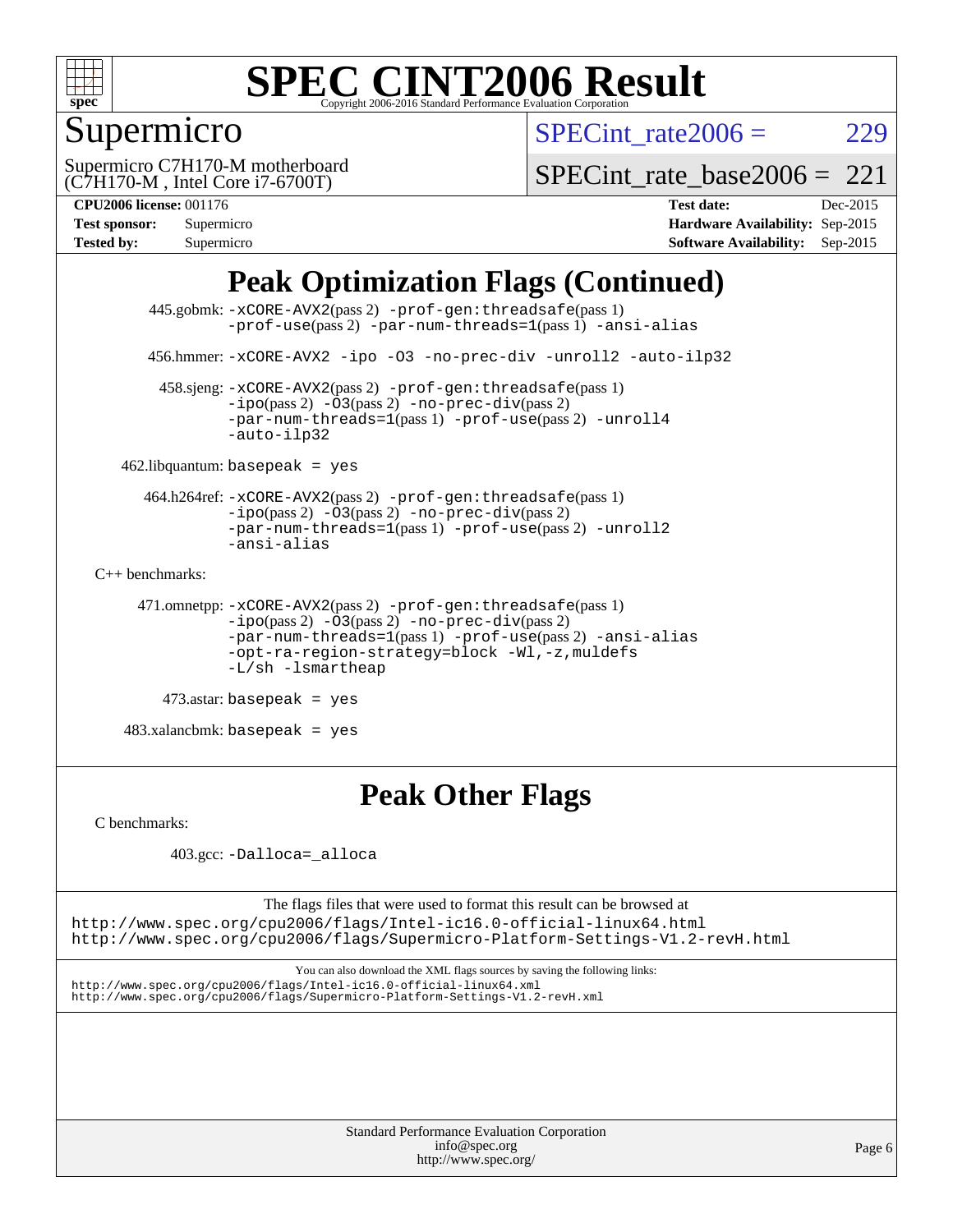

## Supermicro

SPECint rate $2006 = 229$ 

(C7H170-M , Intel Core i7-6700T) Supermicro C7H170-M motherboard SPECint rate base2006 =  $221$ 

| <b>Test sponsor:</b> | Supermicro |
|----------------------|------------|
| <b>Tested by:</b>    | Supermicro |

**[CPU2006 license:](http://www.spec.org/auto/cpu2006/Docs/result-fields.html#CPU2006license)** 001176 **[Test date:](http://www.spec.org/auto/cpu2006/Docs/result-fields.html#Testdate)** Dec-2015 **[Hardware Availability:](http://www.spec.org/auto/cpu2006/Docs/result-fields.html#HardwareAvailability)** Sep-2015 **[Software Availability:](http://www.spec.org/auto/cpu2006/Docs/result-fields.html#SoftwareAvailability)** Sep-2015

## **[Peak Optimization Flags \(Continued\)](http://www.spec.org/auto/cpu2006/Docs/result-fields.html#PeakOptimizationFlags)**

```
 445.gobmk: -xCORE-AVX2(pass 2) -prof-gen:threadsafe(pass 1)
                 -prof-use(pass 2) -par-num-threads=1(pass 1) -ansi-alias
       456.hmmer: -xCORE-AVX2 -ipo -O3 -no-prec-div -unroll2 -auto-ilp32
         458.sjeng: -xCORE-AVX2(pass 2) -prof-gen:threadsafe(pass 1)
                -ipo(pass 2) -\overline{03(pass 2)}-no-prec-div(pass 2)
                -par-num-threads=1(pass 1) -prof-use(pass 2) -unroll4
                 -auto-ilp32
   462.libquantum: basepeak = yes
       464.h264ref: -xCORE-AVX2(pass 2) -prof-gen:threadsafe(pass 1)
                -i\text{po}(pass 2) -03(pass 2) -no-prec-div(pass 2)-par-num-threads=1(pass 1) -prof-use(pass 2) -unroll2
                -ansi-alias
C++ benchmarks: 
      471.omnetpp: -xCORE-AVX2(pass 2) -prof-gen:threadsafe(pass 1)
                -ipo(pass 2) -O3(pass 2) -no-prec-div(pass 2)
                -par-num-threads=1(pass 1) -prof-use(pass 2) -ansi-alias
                -opt-ra-region-strategy=block -Wl,-z,muldefs
                -L/sh -lsmartheap
         473.astar: basepeak = yes
```
 $483.xalanchmk: basepeak = yes$ 

## **[Peak Other Flags](http://www.spec.org/auto/cpu2006/Docs/result-fields.html#PeakOtherFlags)**

[C benchmarks](http://www.spec.org/auto/cpu2006/Docs/result-fields.html#Cbenchmarks):

```
 403.gcc: -Dalloca=_alloca
```
The flags files that were used to format this result can be browsed at <http://www.spec.org/cpu2006/flags/Intel-ic16.0-official-linux64.html>

<http://www.spec.org/cpu2006/flags/Supermicro-Platform-Settings-V1.2-revH.html>